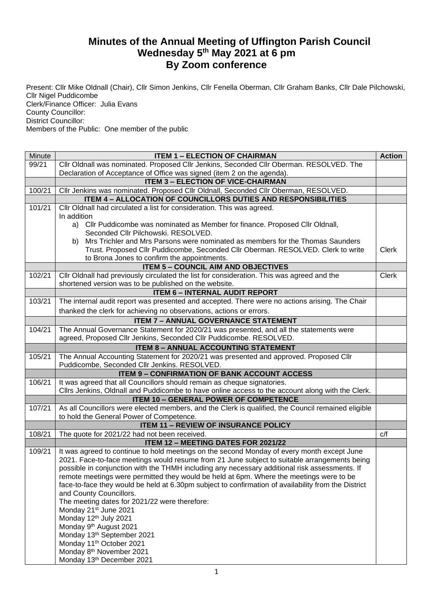## **Minutes of the Annual Meeting of Uffington Parish Council Wednesday 5th May 2021 at 6 pm By Zoom conference**

Present: Cllr Mike Oldnall (Chair), Cllr Simon Jenkins, Cllr Fenella Oberman, Cllr Graham Banks, Cllr Dale Pilchowski, Cllr Nigel Puddicombe Clerk/Finance Officer: Julia Evans County Councillor: District Councillor: Members of the Public: One member of the public

| Minute | <b>ITEM 1 - ELECTION OF CHAIRMAN</b>                                                                                                                                                                                                                                                                                                                                                   | <b>Action</b> |
|--------|----------------------------------------------------------------------------------------------------------------------------------------------------------------------------------------------------------------------------------------------------------------------------------------------------------------------------------------------------------------------------------------|---------------|
| 99/21  | Cllr Oldnall was nominated. Proposed Cllr Jenkins, Seconded Cllr Oberman. RESOLVED. The                                                                                                                                                                                                                                                                                                |               |
|        | Declaration of Acceptance of Office was signed (item 2 on the agenda).                                                                                                                                                                                                                                                                                                                 |               |
|        | <b>ITEM 3 - ELECTION OF VICE-CHAIRMAN</b>                                                                                                                                                                                                                                                                                                                                              |               |
| 100/21 | Cllr Jenkins was nominated. Proposed Cllr Oldnall, Seconded Cllr Oberman, RESOLVED.                                                                                                                                                                                                                                                                                                    |               |
|        | ITEM 4 - ALLOCATION OF COUNCILLORS DUTIES AND RESPONSIBILITIES                                                                                                                                                                                                                                                                                                                         |               |
| 101/21 | Cllr Oldnall had circulated a list for consideration. This was agreed.<br>In addition                                                                                                                                                                                                                                                                                                  |               |
|        | a) Cllr Puddicombe was nominated as Member for finance. Proposed Cllr Oldnall,<br>Seconded Cllr Pilchowski. RESOLVED.                                                                                                                                                                                                                                                                  |               |
|        | Mrs Trichler and Mrs Parsons were nominated as members for the Thomas Saunders<br>b)<br>Trust. Proposed Cllr Puddicombe, Seconded Cllr Oberman. RESOLVED. Clerk to write                                                                                                                                                                                                               | <b>Clerk</b>  |
|        | to Brona Jones to confirm the appointments.                                                                                                                                                                                                                                                                                                                                            |               |
|        | <b>ITEM 5 - COUNCIL AIM AND OBJECTIVES</b>                                                                                                                                                                                                                                                                                                                                             |               |
| 102/21 | Cllr Oldnall had previously circulated the list for consideration. This was agreed and the<br>shortened version was to be published on the website.                                                                                                                                                                                                                                    | <b>Clerk</b>  |
|        | <b>ITEM 6 - INTERNAL AUDIT REPORT</b>                                                                                                                                                                                                                                                                                                                                                  |               |
| 103/21 | The internal audit report was presented and accepted. There were no actions arising. The Chair                                                                                                                                                                                                                                                                                         |               |
|        | thanked the clerk for achieving no observations, actions or errors.                                                                                                                                                                                                                                                                                                                    |               |
|        | <b>ITEM 7 - ANNUAL GOVERNANCE STATEMENT</b>                                                                                                                                                                                                                                                                                                                                            |               |
| 104/21 | The Annual Governance Statement for 2020/21 was presented, and all the statements were<br>agreed, Proposed Cllr Jenkins, Seconded Cllr Puddicombe. RESOLVED.                                                                                                                                                                                                                           |               |
|        | <b>ITEM 8 - ANNUAL ACCOUNTING STATEMENT</b>                                                                                                                                                                                                                                                                                                                                            |               |
| 105/21 | The Annual Accounting Statement for 2020/21 was presented and approved. Proposed Cllr<br>Puddicombe, Seconded Cllr Jenkins. RESOLVED.                                                                                                                                                                                                                                                  |               |
|        | <b>ITEM 9 - CONFIRMATION OF BANK ACCOUNT ACCESS</b>                                                                                                                                                                                                                                                                                                                                    |               |
| 106/21 | It was agreed that all Councillors should remain as cheque signatories.                                                                                                                                                                                                                                                                                                                |               |
|        | Cllrs Jenkins, Oldnall and Puddicombe to have online access to the account along with the Clerk.                                                                                                                                                                                                                                                                                       |               |
|        | <b>ITEM 10 - GENERAL POWER OF COMPETENCE</b>                                                                                                                                                                                                                                                                                                                                           |               |
| 107/21 | As all Councillors were elected members, and the Clerk is qualified, the Council remained eligible                                                                                                                                                                                                                                                                                     |               |
|        | to hold the General Power of Competence.                                                                                                                                                                                                                                                                                                                                               |               |
|        | <b>ITEM 11 - REVIEW OF INSURANCE POLICY</b>                                                                                                                                                                                                                                                                                                                                            |               |
| 108/21 | The quote for 2021/22 had not been received.                                                                                                                                                                                                                                                                                                                                           | C/f           |
|        | ITEM 12 - MEETING DATES FOR 2021/22                                                                                                                                                                                                                                                                                                                                                    |               |
| 109/21 | It was agreed to continue to hold meetings on the second Monday of every month except June<br>2021. Face-to-face meetings would resume from 21 June subject to suitable arrangements being<br>possible in conjunction with the THMH including any necessary additional risk assessments. If<br>remote meetings were permitted they would be held at 6pm. Where the meetings were to be |               |
|        | face-to-face they would be held at 6.30pm subject to confirmation of availability from the District                                                                                                                                                                                                                                                                                    |               |
|        | and County Councillors.<br>The meeting dates for 2021/22 were therefore:                                                                                                                                                                                                                                                                                                               |               |
|        | Monday 21 <sup>st</sup> June 2021                                                                                                                                                                                                                                                                                                                                                      |               |
|        | Monday 12th July 2021                                                                                                                                                                                                                                                                                                                                                                  |               |
|        | Monday 9 <sup>th</sup> August 2021                                                                                                                                                                                                                                                                                                                                                     |               |
|        | Monday 13th September 2021                                                                                                                                                                                                                                                                                                                                                             |               |
|        | Monday 11 <sup>th</sup> October 2021                                                                                                                                                                                                                                                                                                                                                   |               |
|        | Monday 8 <sup>th</sup> November 2021                                                                                                                                                                                                                                                                                                                                                   |               |
|        | Monday 13th December 2021                                                                                                                                                                                                                                                                                                                                                              |               |